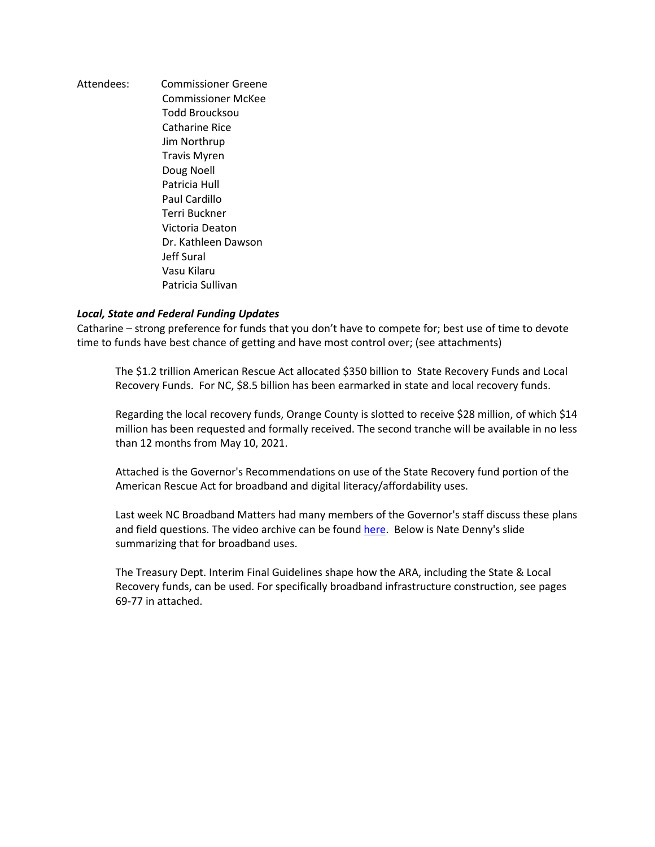Attendees: Commissioner Greene Commissioner McKee Todd Broucksou Catharine Rice Jim Northrup Travis Myren Doug Noell Patricia Hull Paul Cardillo Terri Buckner Victoria Deaton Dr. Kathleen Dawson Jeff Sural Vasu Kilaru Patricia Sullivan

## *Local, State and Federal Funding Updates*

Catharine – strong preference for funds that you don't have to compete for; best use of time to devote time to funds have best chance of getting and have most control over; (see attachments)

The \$1.2 trillion American Rescue Act allocated \$350 billion to State Recovery Funds and Local Recovery Funds. For NC, \$8.5 billion has been earmarked in state and local recovery funds.

Regarding the local recovery funds, Orange County is slotted to receive \$28 million, of which \$14 million has been requested and formally received. The second tranche will be available in no less than 12 months from May 10, 2021.

Attached is the Governor's Recommendations on use of the State Recovery fund portion of the American Rescue Act for broadband and digital literacy/affordability uses.

Last week NC Broadband Matters had many members of the Governor's staff discuss these plans and field questions. The video archive can be found [here.](https://urldefense.proofpoint.com/v2/url?u=https-3A__vimeo.com_554876443&d=DwMFaQ&c=JRU6Crajf79kKcplUJFHFfpcQ9GkS9xWLut8YRTooJY&r=CD068HpzsCBf6bnoBe7nuhzPDdLXX9nPvVbU18uEW-_WecOzWFcWZFRJIr-KjrX9&m=CQgCin_eKYrWY8zAw4isO7r8dqNNX9JtGG8JctYyGBY&s=kkYR81pHT7LLOkWxBe16h4qlEOOxmoUbnCoKe1A3BtU&e=) Below is Nate Denny's slide summarizing that for broadband uses.

The Treasury Dept. Interim Final Guidelines shape how the ARA, including the State & Local Recovery funds, can be used. For specifically broadband infrastructure construction, see pages 69-77 in attached.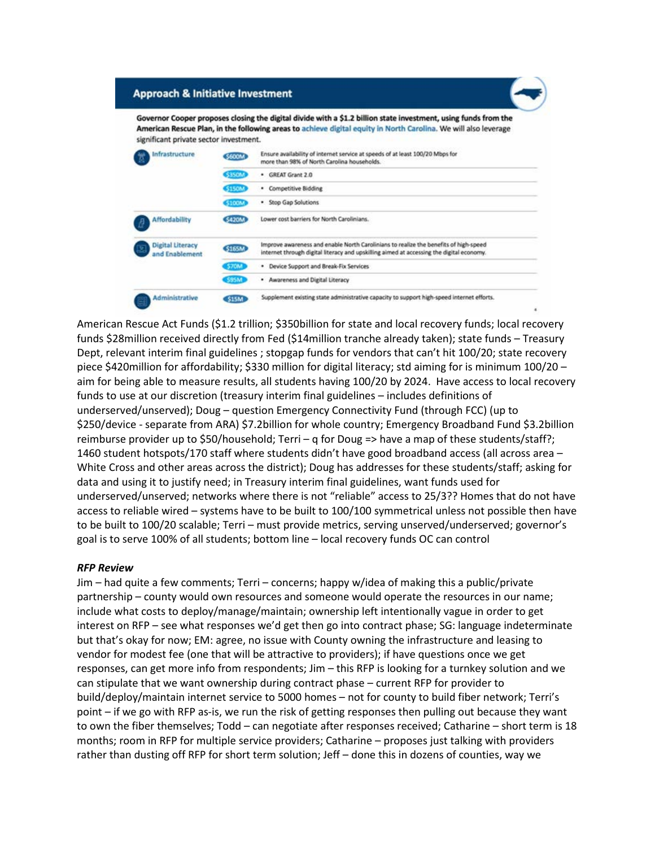## **Approach & Initiative Investment**

Governor Cooper proposes closing the digital divide with a \$1.2 billion state investment, using funds from the American Rescue Plan, in the following areas to achieve digital equity in North Carolina. We will also leverage significant private sector investment.

| Infrastructure                            | <b>S600M</b>  | Ensure availability of internet service at speeds of at least 100/20 Mbps for<br>more than 98% of North Carolina households.                                                     |
|-------------------------------------------|---------------|----------------------------------------------------------------------------------------------------------------------------------------------------------------------------------|
|                                           | <b>\$350M</b> | <b>GREAT Grant 2.0</b><br>٠                                                                                                                                                      |
|                                           | \$150M        | Competitive Bidding<br>٠                                                                                                                                                         |
|                                           | <b>S100M</b>  | Stop Gap Solutions<br>۰                                                                                                                                                          |
| <b>Affordability</b>                      | <b>\$420M</b> | Lower cost barriers for North Carolinians.                                                                                                                                       |
| <b>Digital Literacy</b><br>and Enablement | <b>S165M</b>  | Improve awareness and enable North Carolinians to realize the benefits of high-speed<br>internet through digital literacy and upskilling aimed at accessing the digital economy. |
|                                           | \$70M         | Device Support and Break-Fix Services<br>٠                                                                                                                                       |
|                                           | <b>\$95M</b>  | Awareness and Digital Literacy<br>٠                                                                                                                                              |
| Administrative                            | \$15M         | Supplement existing state administrative capacity to support high-speed internet efforts.                                                                                        |

American Rescue Act Funds (\$1.2 trillion; \$350billion for state and local recovery funds; local recovery funds \$28million received directly from Fed (\$14million tranche already taken); state funds – Treasury Dept, relevant interim final guidelines ; stopgap funds for vendors that can't hit 100/20; state recovery piece \$420million for affordability; \$330 million for digital literacy; std aiming for is minimum 100/20 – aim for being able to measure results, all students having 100/20 by 2024. Have access to local recovery funds to use at our discretion (treasury interim final guidelines – includes definitions of underserved/unserved); Doug – question Emergency Connectivity Fund (through FCC) (up to \$250/device - separate from ARA) \$7.2billion for whole country; Emergency Broadband Fund \$3.2billion reimburse provider up to \$50/household; Terri – q for Doug => have a map of these students/staff?; 1460 student hotspots/170 staff where students didn't have good broadband access (all across area – White Cross and other areas across the district); Doug has addresses for these students/staff; asking for data and using it to justify need; in Treasury interim final guidelines, want funds used for underserved/unserved; networks where there is not "reliable" access to 25/3?? Homes that do not have access to reliable wired – systems have to be built to 100/100 symmetrical unless not possible then have to be built to 100/20 scalable; Terri – must provide metrics, serving unserved/underserved; governor's goal is to serve 100% of all students; bottom line – local recovery funds OC can control

## *RFP Review*

Jim – had quite a few comments; Terri – concerns; happy w/idea of making this a public/private partnership – county would own resources and someone would operate the resources in our name; include what costs to deploy/manage/maintain; ownership left intentionally vague in order to get interest on RFP – see what responses we'd get then go into contract phase; SG: language indeterminate but that's okay for now; EM: agree, no issue with County owning the infrastructure and leasing to vendor for modest fee (one that will be attractive to providers); if have questions once we get responses, can get more info from respondents; Jim – this RFP is looking for a turnkey solution and we can stipulate that we want ownership during contract phase – current RFP for provider to build/deploy/maintain internet service to 5000 homes – not for county to build fiber network; Terri's point – if we go with RFP as-is, we run the risk of getting responses then pulling out because they want to own the fiber themselves; Todd – can negotiate after responses received; Catharine – short term is 18 months; room in RFP for multiple service providers; Catharine – proposes just talking with providers rather than dusting off RFP for short term solution; Jeff – done this in dozens of counties, way we